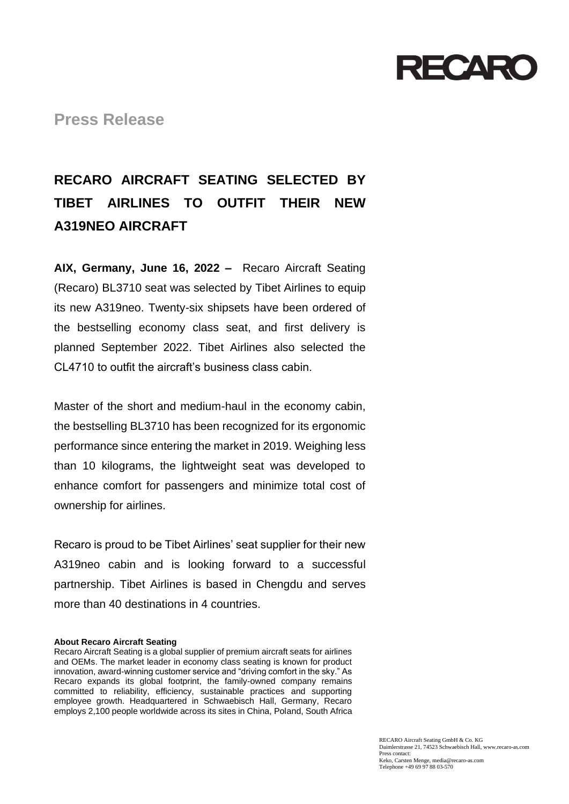

**Press Release**

## **RECARO AIRCRAFT SEATING SELECTED BY TIBET AIRLINES TO OUTFIT THEIR NEW A319NEO AIRCRAFT**

**AIX, Germany, June 16, 2022 –** Recaro Aircraft Seating (Recaro) BL3710 seat was selected by Tibet Airlines to equip its new A319neo. Twenty-six shipsets have been ordered of the bestselling economy class seat, and first delivery is planned September 2022. Tibet Airlines also selected the CL4710 to outfit the aircraft's business class cabin.

Master of the short and medium-haul in the economy cabin, the bestselling BL3710 has been recognized for its ergonomic performance since entering the market in 2019. Weighing less than 10 kilograms, the lightweight seat was developed to enhance comfort for passengers and minimize total cost of ownership for airlines.

Recaro is proud to be Tibet Airlines' seat supplier for their new A319neo cabin and is looking forward to a successful partnership. Tibet Airlines is based in Chengdu and serves more than 40 destinations in 4 countries.

## **About Recaro Aircraft Seating**

Recaro Aircraft Seating is a global supplier of premium aircraft seats for airlines and OEMs. The market leader in economy class seating is known for product innovation, award-winning customer service and "driving comfort in the sky." As Recaro expands its global footprint, the family-owned company remains committed to reliability, efficiency, sustainable practices and supporting employee growth. Headquartered in Schwaebisch Hall, Germany, Recaro employs 2,100 people worldwide across its sites in China, Poland, South Africa